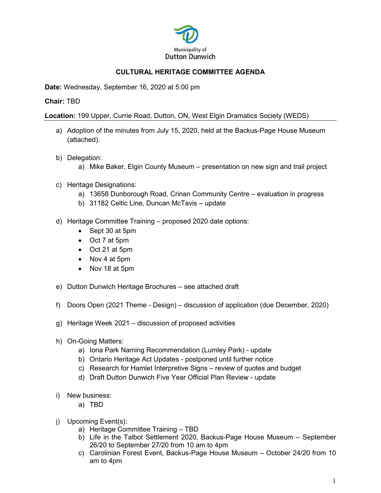

## **CULTURAL HERITAGE COMMITTEE AGENDA**

**Date:** Wednesday, September 16, 2020 at 5:00 pm

## **Chair:** TBD

**Location:** 199 Upper, Currie Road, Dutton, ON, West Elgin Dramatics Society (WEDS)

- a) Adoption of the minutes from July 15, 2020, held at the Backus-Page House Museum (attached).
- b) Delegation:
	- a) Mike Baker, Elgin County Museum presentation on new sign and trail project
- c) Heritage Designations:
	- a) 13658 Dunborough Road, Crinan Community Centre evaluation in progress
	- b) 31182 Celtic Line, Duncan McTavis update
- d) Heritage Committee Training proposed 2020 date options:
	- Sept 30 at 5pm
	- Oct 7 at 5pm
	- Oct 21 at 5pm
	- Nov 4 at 5pm
	- Nov 18 at 5pm
- e) Dutton Dunwich Heritage Brochures see attached draft
- f) Doors Open (2021 Theme Design) discussion of application (due December, 2020)
- g) Heritage Week 2021 discussion of proposed activities
- h) On-Going Matters:
	- a) Iona Park Naming Recommendation (Lumley Park) update
	- b) Ontario Heritage Act Updates postponed until further notice
	- c) Research for Hamlet Interpretive Signs review of quotes and budget
	- d) Draft Dutton Dunwich Five Year Official Plan Review update
- i) New business:
	- a) TBD
- j) Upcoming Event(s):
	- a) Heritage Committee Training TBD
	- b) Life in the Talbot Settlement 2020, Backus-Page House Museum September 26/20 to September 27/20 from 10 am to 4pm
	- c) Carolinian Forest Event, Backus-Page House Museum October 24/20 from 10 am to 4pm